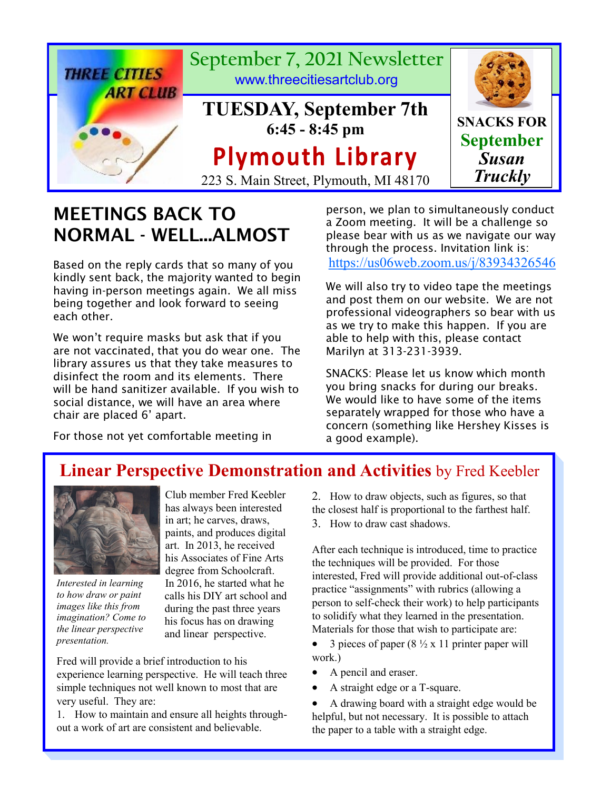

## MEETINGS BACK TO NORMAL - WELL...ALMOST

Based on the reply cards that so many of you kindly sent back, the majority wanted to begin having in-person meetings again. We all miss being together and look forward to seeing each other.

We won't require masks but ask that if you are not vaccinated, that you do wear one. The library assures us that they take measures to disinfect the room and its elements. There will be hand sanitizer available. If you wish to social distance, we will have an area where chair are placed 6' apart.

For those not yet comfortable meeting in

person, we plan to simultaneously conduct a Zoom meeting. It will be a challenge so please bear with us as we navigate our way through the process. Invitation link is: <https://us06web.zoom.us/j/83934326546>

We will also try to video tape the meetings and post them on our website. We are not professional videographers so bear with us as we try to make this happen. If you are able to help with this, please contact Marilyn at 313-231-3939.

SNACKS: Please let us know which month you bring snacks for during our breaks. We would like to have some of the items separately wrapped for those who have a concern (something like Hershey Kisses is a good example).

### **Linear Perspective Demonstration and Activities** by Fred Keebler



*Interested in learning to how draw or paint images like this from imagination? Come to the linear perspective presentation.* 

Club member Fred Keebler has always been interested in art; he carves, draws, paints, and produces digital art. In 2013, he received his Associates of Fine Arts degree from Schoolcraft. In 2016, he started what he calls his DIY art school and during the past three years his focus has on drawing and linear perspective.

Fred will provide a brief introduction to his experience learning perspective. He will teach three simple techniques not well known to most that are very useful. They are:

1. How to maintain and ensure all heights throughout a work of art are consistent and believable.

2. How to draw objects, such as figures, so that the closest half is proportional to the farthest half. 3. How to draw cast shadows.

After each technique is introduced, time to practice the techniques will be provided. For those interested, Fred will provide additional out-of-class practice "assignments" with rubrics (allowing a person to self-check their work) to help participants to solidify what they learned in the presentation. Materials for those that wish to participate are:

• 3 pieces of paper  $(8 \frac{1}{2} \times 11)$  printer paper will work.)

- A pencil and eraser.
- A straight edge or a T-square.
- A drawing board with a straight edge would be helpful, but not necessary. It is possible to attach the paper to a table with a straight edge.